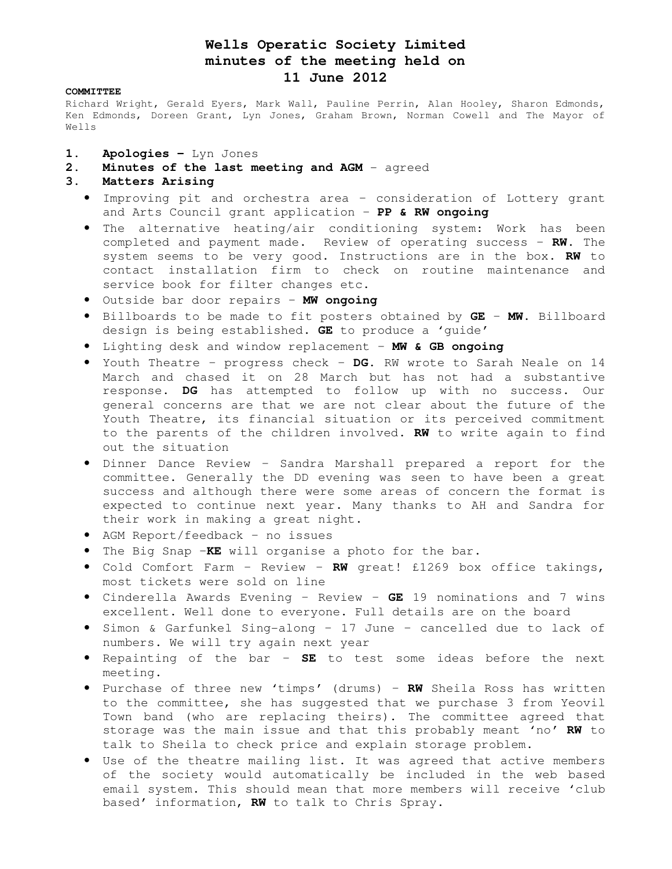# **Wells Operatic Society Limited minutes of the meeting held on 11 June 2012**

#### **COMMITTEE**

Richard Wright, Gerald Eyers, Mark Wall, Pauline Perrin, Alan Hooley, Sharon Edmonds, Ken Edmonds, Doreen Grant, Lyn Jones, Graham Brown, Norman Cowell and The Mayor of Wells

- 1. Apologies Lyn Jones
- 2. Minutes of the last meeting and AGM agreed
- **3. Matters Arising** 
	- Improving pit and orchestra area consideration of Lottery grant and Arts Council grant application – **PP & RW ongoing**
	- The alternative heating/air conditioning system: Work has been completed and payment made. Review of operating success – **RW.** The system seems to be very good. Instructions are in the box. **RW** to contact installation firm to check on routine maintenance and service book for filter changes etc.
	- Outside bar door repairs **MW ongoing**
	- Billboards to be made to fit posters obtained by **GE MW.** Billboard design is being established. **GE** to produce a 'guide'
	- Lighting desk and window replacement **MW & GB ongoing**
	- Youth Theatre progress check **DG.** RW wrote to Sarah Neale on 14 March and chased it on 28 March but has not had a substantive response. **DG** has attempted to follow up with no success. Our general concerns are that we are not clear about the future of the Youth Theatre, its financial situation or its perceived commitment to the parents of the children involved. **RW** to write again to find out the situation
	- Dinner Dance Review Sandra Marshall prepared a report for the committee. Generally the DD evening was seen to have been a great success and although there were some areas of concern the format is expected to continue next year. Many thanks to AH and Sandra for their work in making a great night.
	- AGM Report/feedback no issues
	- The Big Snap –**KE** will organise a photo for the bar.
	- Cold Comfort Farm Review **RW** great! £1269 box office takings, most tickets were sold on line
	- Cinderella Awards Evening Review **GE** 19 nominations and 7 wins excellent. Well done to everyone. Full details are on the board
	- Simon & Garfunkel Sing-along 17 June cancelled due to lack of numbers. We will try again next year
	- Repainting of the bar **SE** to test some ideas before the next meeting.
	- Purchase of three new 'timps' (drums) **RW** Sheila Ross has written to the committee, she has suggested that we purchase 3 from Yeovil Town band (who are replacing theirs). The committee agreed that storage was the main issue and that this probably meant 'no' **RW** to talk to Sheila to check price and explain storage problem.
	- Use of the theatre mailing list. It was agreed that active members of the society would automatically be included in the web based email system. This should mean that more members will receive 'club based' information, **RW** to talk to Chris Spray.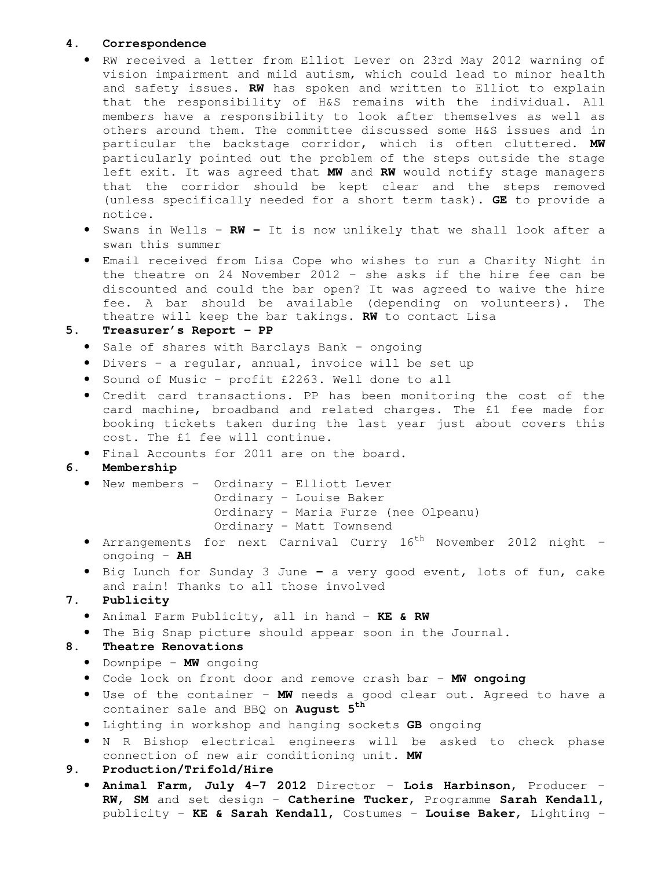### **4. Correspondence**

- RW received a letter from Elliot Lever on 23rd May 2012 warning of vision impairment and mild autism, which could lead to minor health and safety issues. **RW** has spoken and written to Elliot to explain that the responsibility of H&S remains with the individual. All members have a responsibility to look after themselves as well as others around them. The committee discussed some H&S issues and in particular the backstage corridor, which is often cluttered. **MW** particularly pointed out the problem of the steps outside the stage left exit. It was agreed that **MW** and **RW** would notify stage managers that the corridor should be kept clear and the steps removed (unless specifically needed for a short term task). **GE** to provide a notice.
- Swans in Wells **RW** It is now unlikely that we shall look after a swan this summer
- Email received from Lisa Cope who wishes to run a Charity Night in the theatre on 24 November 2012 – she asks if the hire fee can be discounted and could the bar open? It was agreed to waive the hire fee. A bar should be available (depending on volunteers). The theatre will keep the bar takings. **RW** to contact Lisa

### **5. Treasurer's Report – PP**

- Sale of shares with Barclays Bank ongoing
- Divers a regular, annual, invoice will be set up
- Sound of Music profit £2263. Well done to all
- Credit card transactions. PP has been monitoring the cost of the card machine, broadband and related charges. The £1 fee made for booking tickets taken during the last year just about covers this cost. The £1 fee will continue.
- Final Accounts for 2011 are on the board.

### **6. Membership**

• New members – Ordinary – Elliott Lever

Ordinary – Louise Baker Ordinary – Maria Furze (nee Olpeanu) Ordinary – Matt Townsend

- Arrangements for next Carnival Curry  $16<sup>th</sup>$  November 2012 night ongoing – **AH**
- Big Lunch for Sunday 3 Junea very good event, lots of fun, cake and rain! Thanks to all those involved

## **7. Publicity**

- Animal Farm Publicity, all in hand **KE & RW**
- The Big Snap picture should appear soon in the Journal.

### **8. Theatre Renovations**

- Downpipe **MW** ongoing
- Code lock on front door and remove crash bar **MW ongoing**
- Use of the container **MW** needs a good clear out. Agreed to have a container sale and BBQ on **August 5th**
- Lighting in workshop and hanging sockets **GB** ongoing
- N R Bishop electrical engineers will be asked to check phase connection of new air conditioning unit. **MW**

### **9. Production/Trifold/Hire**

• **Animal Farm, July 4-7 2012** Director – **Lois Harbinson,** Producer – **RW, SM** and set design – **Catherine Tucker,** Programme **Sarah Kendall,**  publicity – **KE & Sarah Kendall,** Costumes – **Louise Baker**, Lighting –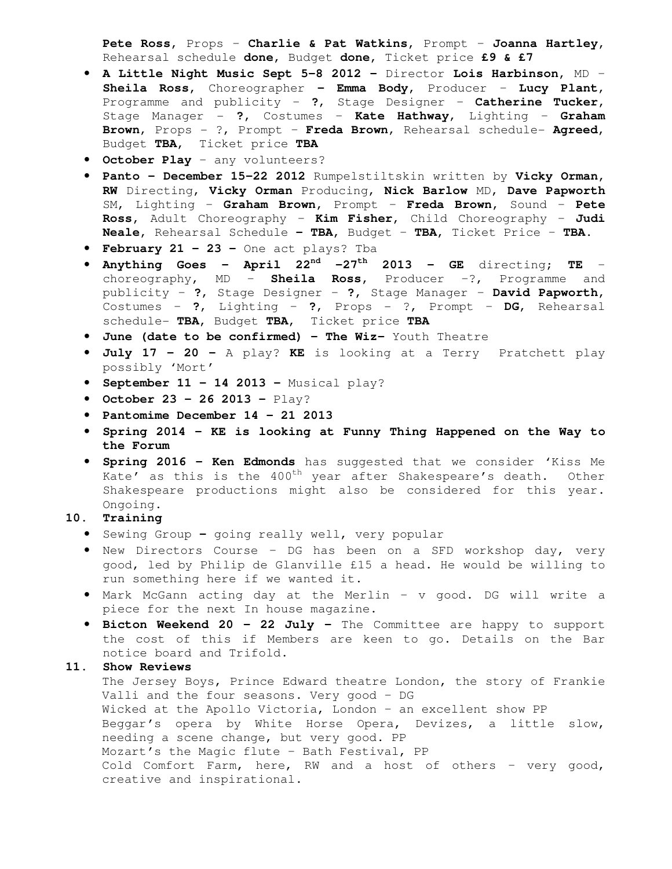**Pete Ross,** Props – **Charlie & Pat Watkins,** Prompt – **Joanna Hartley,**  Rehearsal schedule **done,** Budget **done,** Ticket price **£9 & £7**

- **A Little Night Music Sept 5-8 2012** Director **Lois Harbinson,** MD **Sheila Ross,** Choreographer **– Emma Body,** Producer – **Lucy Plant**, Programme and publicity – **?**, Stage Designer – **Catherine Tucker,**  Stage Manager - **?,** Costumes – **Kate Hathway**, Lighting – **Graham Brown**, Props - ?, Prompt – **Freda Brown**, Rehearsal schedule- **Agreed,**  Budget **TBA,** Ticket price **TBA**
- **October Play**  any volunteers?
- **Panto December 15-22 2012** Rumpelstiltskin written by **Vicky Orman, RW** Directing, **Vicky Orman** Producing, **Nick Barlow** MD, **Dave Papworth**  SM, Lighting – **Graham Brown,** Prompt – **Freda Brown,** Sound – **Pete Ross,** Adult Choreography – **Kim Fisher,** Child Choreography – **Judi Neale,** Rehearsal Schedule **– TBA,** Budget – **TBA,** Ticket Price – **TBA.**
- **February 21 23** One act plays? Tba
- **Anything Goes April 22nd -27th 2013 GE** directing; **TE** choreography, MD – **Sheila Ross,** Producer –?, Programme and publicity – **?**, Stage Designer – **?,** Stage Manager – **David Papworth,**  Costumes – **?**, Lighting – **?**, Props - ?, Prompt – **DG**, Rehearsal schedule- **TBA,** Budget **TBA,** Ticket price **TBA**
- **June (date to be confirmed) The Wiz–** Youth Theatre
- **July 17 20** A play? **KE** is looking at a Terry Pratchett play possibly 'Mort'
- **September 11 14 2013** Musical play?
- **October 23 26 2013** Play?
- **Pantomime December 14 21 2013**
- **Spring 2014 KE is looking at Funny Thing Happened on the Way to the Forum**
- **Spring 2016 Ken Edmonds** has suggested that we consider 'Kiss Me Kate' as this is the  $400^{th}$  year after Shakespeare's death. Other Shakespeare productions might also be considered for this year. Ongoing.

### **10. Training**

- Sewing Groupgoing really well, very popular
- New Directors Course DG has been on a SFD workshop day, very good, led by Philip de Glanville £15 a head. He would be willing to run something here if we wanted it.
- Mark McGann acting day at the Merlin v good. DG will write a piece for the next In house magazine.
- **Bicton Weekend 20 22 July** The Committee are happy to support the cost of this if Members are keen to go. Details on the Bar notice board and Trifold.

### **11. Show Reviews**

The Jersey Boys, Prince Edward theatre London, the story of Frankie Valli and the four seasons. Very good – DG Wicked at the Apollo Victoria, London – an excellent show PP Beggar's opera by White Horse Opera, Devizes, a little slow, needing a scene change, but very good. PP Mozart's the Magic flute – Bath Festival, PP Cold Comfort Farm, here, RW and a host of others – very good, creative and inspirational.